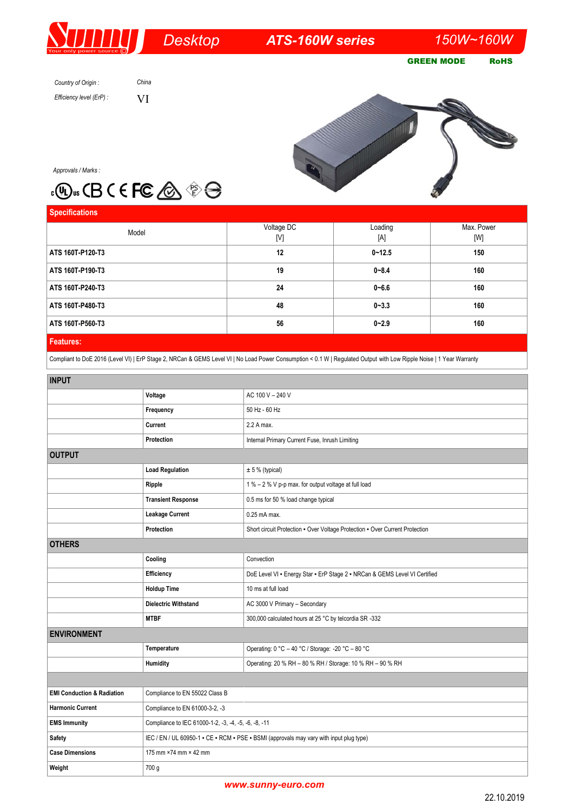# *Desktop*

*ATS-160W series 150W~160W* 

GREEN MODE RoHS

*Country of Origin : Efficiency level (ErP) :*



*Approvals / Marks :*

# . <sub>®</sub> ∞ CB C E FC △ <sup>→</sup>

*China* VI

| <b>Specifications</b> |            |            |            |
|-----------------------|------------|------------|------------|
| Model                 | Voltage DC | Loading    | Max. Power |
|                       | [V]        | [A]        | [W]        |
| ATS 160T-P120-T3      | 12         | $0 - 12.5$ | 150        |
| ATS 160T-P190-T3      | 19         | $0 - 8.4$  | 160        |
| ATS 160T-P240-T3      | 24         | $0 - 6.6$  | 160        |
| ATS 160T-P480-T3      | 48         | $0 - 3.3$  | 160        |
| ATS 160T-P560-T3      | 56         | $0 - 2.9$  | 160        |
| <b>Features:</b>      |            |            |            |

## Compliant to DoE 2016 (Level VI) | ErP Stage 2, NRCan & GEMS Level VI | No Load Power Consumption < 0.1 W | Regulated Output with Low Ripple Noise | 1 Year Warranty

| <b>INPUT</b>                          |                                                                                         |                                                                              |  |
|---------------------------------------|-----------------------------------------------------------------------------------------|------------------------------------------------------------------------------|--|
|                                       | Voltage                                                                                 | AC 100 V - 240 V                                                             |  |
|                                       | Frequency                                                                               | 50 Hz - 60 Hz                                                                |  |
|                                       | Current                                                                                 | 2.2 A max.                                                                   |  |
|                                       | Protection                                                                              | Internal Primary Current Fuse, Inrush Limiting                               |  |
| <b>OUTPUT</b>                         |                                                                                         |                                                                              |  |
|                                       | <b>Load Regulation</b>                                                                  | ± 5 % (typical)                                                              |  |
|                                       | Ripple                                                                                  | 1 % - 2 % V p-p max. for output voltage at full load                         |  |
|                                       | <b>Transient Response</b>                                                               | 0.5 ms for 50 % load change typical                                          |  |
|                                       | <b>Leakage Current</b>                                                                  | 0.25 mA max.                                                                 |  |
|                                       | Protection                                                                              | Short circuit Protection - Over Voltage Protection - Over Current Protection |  |
| <b>OTHERS</b>                         |                                                                                         |                                                                              |  |
|                                       | Cooling                                                                                 | Convection                                                                   |  |
|                                       | Efficiency                                                                              | DoE Level VI - Energy Star - ErP Stage 2 - NRCan & GEMS Level VI Certified   |  |
|                                       | <b>Holdup Time</b>                                                                      | 10 ms at full load                                                           |  |
|                                       | <b>Dielectric Withstand</b>                                                             | AC 3000 V Primary - Secondary                                                |  |
|                                       | <b>MTBF</b>                                                                             | 300,000 calculated hours at 25 °C by telcordia SR -332                       |  |
| <b>ENVIRONMENT</b>                    |                                                                                         |                                                                              |  |
|                                       | Temperature                                                                             | Operating: 0 °C - 40 °C / Storage: -20 °C - 80 °C                            |  |
|                                       | Humidity                                                                                | Operating: 20 % RH - 80 % RH / Storage: 10 % RH - 90 % RH                    |  |
|                                       |                                                                                         |                                                                              |  |
| <b>EMI Conduction &amp; Radiation</b> | Compliance to EN 55022 Class B                                                          |                                                                              |  |
| <b>Harmonic Current</b>               | Compliance to EN 61000-3-2, -3                                                          |                                                                              |  |
| <b>EMS Immunity</b>                   | Compliance to IEC 61000-1-2, -3, -4, -5, -6, -8, -11                                    |                                                                              |  |
| Safety                                | IEC / EN / UL 60950-1 - CE - RCM - PSE - BSMI (approvals may vary with input plug type) |                                                                              |  |
| <b>Case Dimensions</b>                | 175 mm ×74 mm × 42 mm                                                                   |                                                                              |  |
| Weight                                | 700 g                                                                                   |                                                                              |  |